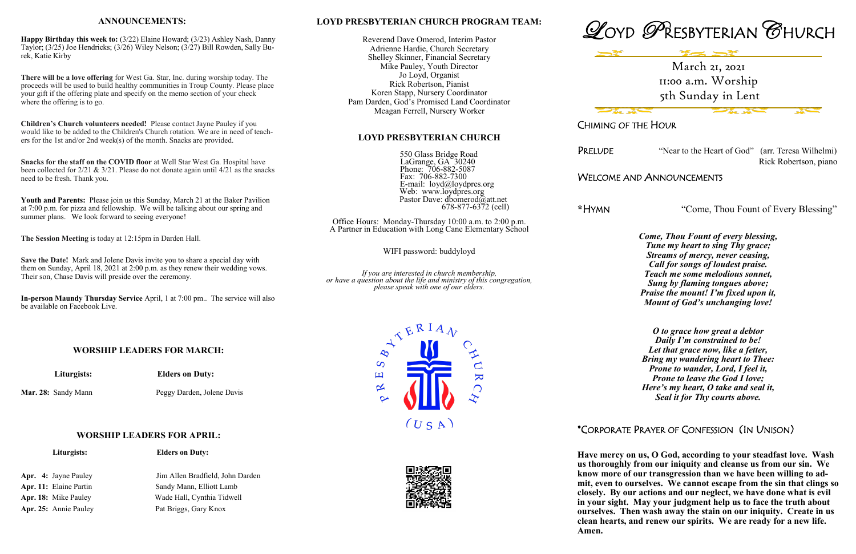#### **LOYD PRESBYTERIAN CHURCH PROGRAM TEAM:**

Reverend Dave Omerod, Interim Pastor Adrienne Hardie, Church Secretary Shelley Skinner, Financial Secretary Mike Pauley, Youth Director Jo Loyd, Organist Rick Robertson, Pianist Koren Stapp, Nursery Coordinator Pam Darden, God's Promised Land Coordinator Meagan Ferrell, Nursery Worker

#### **LOYD PRESBYTERIAN CHURCH**

 550 Glass Bridge Road LaGrange, GA 30240 Phone: 706-882-5087 Fax: 706-882-7300 E-mail: loyd@loydpres.org Web: www.loydpres.org Pastor Dave: dbomerod@att.net 678-877-6372 (cell)

Office Hours: Monday-Thursday 10:00 a.m. to 2:00 p.m. A Partner in Education with Long Cane Elementary School

WIFI password: buddyloyd

*If you are interested in church membership, or have a question about the life and ministry of this congregation, please speak with one of our elders.*









**Albert Card Contract Contract Contract Contract Contract Contract Contract Contract Contract Contract Contract** 

## CHIMING OF THE HOUR

PRELUDE "Near to the Heart of God" (arr. Teresa Wilhelmi) Rick Robertson, piano

## WELCOME AND ANNOUNCEMENTS

**\***HYMN "Come, Thou Fount of Every Blessing"

*Come, Thou Fount of every blessing, Tune my heart to sing Thy grace; Streams of mercy, never ceasing, Call for songs of loudest praise. Teach me some melodious sonnet, Sung by flaming tongues above; Praise the mount! I'm fixed upon it, Mount of God's unchanging love!*

*O to grace how great a debtor Daily I'm constrained to be! Let that grace now, like a fetter, Bring my wandering heart to Thee: Prone to wander, Lord, I feel it, Prone to leave the God I love; Here's my heart, O take and seal it, Seal it for Thy courts above.*

**Youth and Parents:** Please join us this Sunday, March 21 at the Baker Pavilion at 7:00 p.m. for pizza and fellowship. We will be talking about our spring and summer plans. We look forward to seeing everyone!

## \*CORPORATE PRAYER OF CONFESSION (IN UNISON)

**Have mercy on us, O God, according to your steadfast love. Wash us thoroughly from our iniquity and cleanse us from our sin. We know more of our transgression than we have been willing to admit, even to ourselves. We cannot escape from the sin that clings so closely. By our actions and our neglect, we have done what is evil in your sight. May your judgment help us to face the truth about** 

**ourselves. Then wash away the stain on our iniquity. Create in us clean hearts, and renew our spirits. We are ready for a new life.** 

**Amen.** 

#### **ANNOUNCEMENTS:**

**Happy Birthday this week to:** (3/22) Elaine Howard; (3/23) Ashley Nash, Danny Taylor; (3/25) Joe Hendricks; (3/26) Wiley Nelson; (3/27) Bill Rowden, Sally Burek, Katie Kirby

**There will be a love offering** for West Ga. Star, Inc. during worship today. The proceeds will be used to build healthy communities in Troup County. Please place your gift if the offering plate and specify on the memo section of your check where the offering is to go.

**Children's Church volunteers needed!** Please contact Jayne Pauley if you would like to be added to the Children's Church rotation. We are in need of teachers for the 1st and/or 2nd week(s) of the month. Snacks are provided.

**Snacks for the staff on the COVID floor** at Well Star West Ga. Hospital have been collected for  $2/21 \& 3/21$ . Please do not donate again until  $4/21$  as the snacks need to be fresh. Thank you.

**The Session Meeting** is today at 12:15pm in Darden Hall.

**Save the Date!** Mark and Jolene Davis invite you to share a special day with them on Sunday, April 18, 2021 at 2:00 p.m. as they renew their wedding vows. Their son, Chase Davis will preside over the ceremony.

**In-person Maundy Thursday Service** April, 1 at 7:00 pm.. The service will also be available on Facebook Live.

#### **WORSHIP LEADERS FOR MARCH:**

 **Liturgists: Elders on Duty:**

Mar. 28: Sandy Mann Peggy Darden, Jolene Davis

#### **WORSHIP LEADERS FOR APRIL:**

*Liturgists:* **Elders on Duty:** 

Apr. 25: Annie Pauley Pat Briggs, Gary Knox

Apr. 4: Jayne Pauley Jim Allen Bradfield, John Darden Apr. 11: Elaine Partin Sandy Mann, Elliott Lamb Apr. 18: Mike Pauley Wade Hall, Cynthia Tidwell

March 21, 2021 11:00 a.m. Worship 5th Sunday in Lent